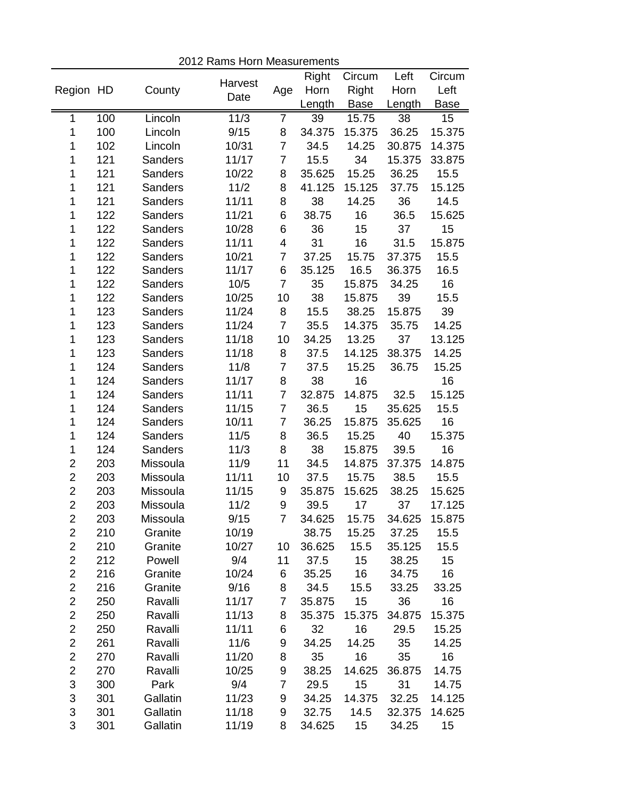|                |     |                |         |                | Right  | Circum          | Left        | Circum      |
|----------------|-----|----------------|---------|----------------|--------|-----------------|-------------|-------------|
| Region HD      |     | County         | Harvest | Age            | Horn   | Right           | Horn        | Left        |
|                |     |                | Date    |                | Length | <b>Base</b>     | Length      | <b>Base</b> |
| 1              | 100 | Lincoln        | 11/3    | 7              | 39     | 15.75           | 38          | 15          |
| 1              | 100 | Lincoln        | 9/15    | 8              | 34.375 | 15.375          | 36.25       | 15.375      |
| 1              | 102 | Lincoln        | 10/31   | $\overline{7}$ | 34.5   | 14.25           | 30.875      | 14.375      |
| 1              | 121 | <b>Sanders</b> | 11/17   | $\overline{7}$ | 15.5   | 34              | 15.375      | 33.875      |
| 1              | 121 | <b>Sanders</b> | 10/22   | 8              | 35.625 | 15.25           | 36.25       | 15.5        |
| 1              | 121 | Sanders        | 11/2    | 8              | 41.125 | 15.125          | 37.75       | 15.125      |
| 1              | 121 | Sanders        | 11/11   | 8              | 38     | 14.25           | 36          | 14.5        |
| 1              | 122 | Sanders        | 11/21   | 6              | 38.75  | 16              | 36.5        | 15.625      |
| 1              | 122 | Sanders        | 10/28   | 6              | 36     | 15              | 37          | 15          |
| 1              | 122 | Sanders        | 11/11   | 4              | 31     | 16              | 31.5        | 15.875      |
| 1              | 122 | Sanders        | 10/21   | $\overline{7}$ | 37.25  | 15.75           | 37.375      | 15.5        |
| 1              | 122 | <b>Sanders</b> | 11/17   | 6              | 35.125 | 16.5            | 36.375      | 16.5        |
| 1              | 122 | <b>Sanders</b> | 10/5    | $\overline{7}$ | 35     | 15.875          | 34.25       | 16          |
| 1              | 122 | Sanders        | 10/25   | 10             | 38     | 15.875          | 39          | 15.5        |
| 1              | 123 | Sanders        | 11/24   | 8              | 15.5   | 38.25           | 15.875      | 39          |
| 1              | 123 | <b>Sanders</b> | 11/24   | $\overline{7}$ | 35.5   | 14.375          | 35.75       | 14.25       |
| 1              | 123 | <b>Sanders</b> | 11/18   | 10             | 34.25  | 13.25           | 37          | 13.125      |
| 1              | 123 | <b>Sanders</b> | 11/18   | 8              | 37.5   | 14.125          | 38.375      | 14.25       |
| 1              | 124 | Sanders        | 11/8    | $\overline{7}$ | 37.5   | 15.25           | 36.75       | 15.25       |
| 1              | 124 | Sanders        | 11/17   | 8              | 38     | 16              |             | 16          |
| 1              | 124 | Sanders        | 11/11   | $\overline{7}$ | 32.875 | 14.875          | 32.5        | 15.125      |
| 1              | 124 | Sanders        | 11/15   | $\overline{7}$ | 36.5   | 15              | 35.625      | 15.5        |
| 1              | 124 | Sanders        | 10/11   | $\overline{7}$ | 36.25  | 15.875          | 35.625      | 16          |
| 1              | 124 | <b>Sanders</b> | 11/5    | 8              | 36.5   | 15.25           | 40          | 15.375      |
| 1              | 124 | <b>Sanders</b> | 11/3    | 8              | 38     | 15.875          | 39.5        | 16          |
| $\overline{2}$ | 203 | Missoula       | 11/9    | 11             | 34.5   | 14.875          | 37.375      | 14.875      |
| $\overline{2}$ | 203 | Missoula       | 11/11   | 10             | 37.5   | 15.75           | 38.5        | 15.5        |
| $\overline{2}$ | 203 | Missoula       | 11/15   | 9              | 35.875 | 15.625          | 38.25       | 15.625      |
| $\overline{2}$ | 203 | Missoula       | 11/2    | 9              | 39.5   | 17              | 37          | 17.125      |
| $\overline{2}$ | 203 | Missoula       | 9/15    | $\overline{7}$ | 34.625 | 15.75           | 34.625      | 15.875      |
| 2              | 210 | Granite        | 10/19   |                | 38.75  |                 | 15.25 37.25 | 15.5        |
| $\overline{c}$ | 210 | Granite        | 10/27   | 10             | 36.625 | 15.5            | 35.125      | 15.5        |
| $\overline{2}$ | 212 | Powell         | 9/4     | 11             | 37.5   | 15              | 38.25       | 15          |
| $\overline{2}$ | 216 | Granite        | 10/24   | 6              | 35.25  | 16              | 34.75       | 16          |
| $\overline{2}$ | 216 | Granite        | 9/16    | 8              | 34.5   | 15.5            | 33.25       | 33.25       |
| $\overline{c}$ | 250 | Ravalli        | 11/17   | $\overline{7}$ | 35.875 | 15              | 36          | 16          |
| $\overline{2}$ | 250 | Ravalli        | 11/13   | 8              | 35.375 | 15.375          | 34.875      | 15.375      |
| $\overline{2}$ | 250 | Ravalli        | 11/11   | 6              | 32     | 16              | 29.5        | 15.25       |
| $\overline{c}$ | 261 | Ravalli        | 11/6    | 9              | 34.25  | 14.25           | 35          | 14.25       |
| $\overline{c}$ | 270 | Ravalli        | 11/20   | 8              | 35     | 16              | 35          | 16          |
| $\overline{c}$ | 270 | Ravalli        | 10/25   | 9              | 38.25  | 14.625          | 36.875      | 14.75       |
| 3              | 300 | Park           | 9/4     | $\overline{7}$ | 29.5   | 15              | 31          | 14.75       |
| 3              | 301 | Gallatin       | 11/23   | 9              | 34.25  | 14.375          | 32.25       | 14.125      |
| 3              | 301 | Gallatin       | 11/18   | 9              | 32.75  | 14.5            | 32.375      | 14.625      |
| 3              | 301 | Gallatin       | 11/19   | 8              | 34.625 | 15 <sup>7</sup> | 34.25       | 15          |

2012 Rams Horn Measurements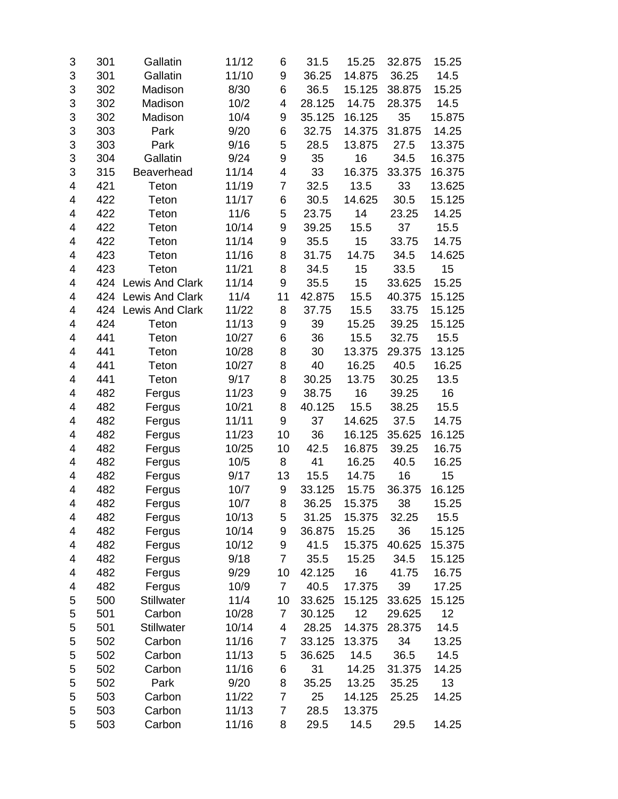| 3 | 301 | Gallatin               | 11/12 | 6              | 31.5   | 15.25  | 32.875 | 15.25  |
|---|-----|------------------------|-------|----------------|--------|--------|--------|--------|
| 3 | 301 | Gallatin               | 11/10 | 9              | 36.25  | 14.875 | 36.25  | 14.5   |
| 3 | 302 | Madison                | 8/30  | 6              | 36.5   | 15.125 | 38.875 | 15.25  |
| 3 | 302 | Madison                | 10/2  | 4              | 28.125 | 14.75  | 28.375 | 14.5   |
| 3 | 302 | Madison                | 10/4  | 9              | 35.125 | 16.125 | 35     | 15.875 |
| 3 | 303 | Park                   | 9/20  | 6              | 32.75  | 14.375 | 31.875 | 14.25  |
| 3 | 303 | Park                   | 9/16  | 5              | 28.5   | 13.875 | 27.5   | 13.375 |
| 3 | 304 | Gallatin               | 9/24  | 9              | 35     | 16     | 34.5   | 16.375 |
| 3 | 315 | Beaverhead             | 11/14 | 4              | 33     | 16.375 | 33.375 | 16.375 |
| 4 | 421 | Teton                  | 11/19 | $\overline{7}$ | 32.5   | 13.5   | 33     | 13.625 |
| 4 | 422 | Teton                  | 11/17 | 6              | 30.5   | 14.625 | 30.5   | 15.125 |
| 4 | 422 | Teton                  | 11/6  | 5              | 23.75  | 14     | 23.25  | 14.25  |
| 4 | 422 | Teton                  | 10/14 | 9              | 39.25  | 15.5   | 37     | 15.5   |
| 4 | 422 | Teton                  | 11/14 | 9              | 35.5   | 15     | 33.75  | 14.75  |
| 4 | 423 | Teton                  | 11/16 | 8              | 31.75  | 14.75  | 34.5   | 14.625 |
| 4 | 423 | Teton                  | 11/21 | 8              | 34.5   | 15     | 33.5   | 15     |
| 4 | 424 | Lewis And Clark        | 11/14 | 9              | 35.5   | 15     | 33.625 | 15.25  |
| 4 | 424 | <b>Lewis And Clark</b> | 11/4  | 11             | 42.875 | 15.5   | 40.375 | 15.125 |
| 4 | 424 | Lewis And Clark        | 11/22 | 8              | 37.75  | 15.5   | 33.75  | 15.125 |
| 4 | 424 | Teton                  | 11/13 | 9              | 39     | 15.25  | 39.25  | 15.125 |
| 4 | 441 | Teton                  | 10/27 | 6              | 36     | 15.5   | 32.75  | 15.5   |
| 4 | 441 | Teton                  | 10/28 | 8              | 30     | 13.375 | 29.375 | 13.125 |
| 4 | 441 | Teton                  | 10/27 | 8              | 40     | 16.25  | 40.5   | 16.25  |
| 4 | 441 | Teton                  | 9/17  | 8              | 30.25  | 13.75  | 30.25  | 13.5   |
| 4 | 482 | Fergus                 | 11/23 | 9              | 38.75  | 16     | 39.25  | 16     |
| 4 | 482 | Fergus                 | 10/21 | 8              | 40.125 | 15.5   | 38.25  | 15.5   |
| 4 | 482 | Fergus                 | 11/11 | 9              | 37     | 14.625 | 37.5   | 14.75  |
| 4 | 482 | Fergus                 | 11/23 | 10             | 36     | 16.125 | 35.625 | 16.125 |
| 4 | 482 | Fergus                 | 10/25 | 10             | 42.5   | 16.875 | 39.25  | 16.75  |
| 4 | 482 | Fergus                 | 10/5  | 8              | 41     | 16.25  | 40.5   | 16.25  |
| 4 | 482 | Fergus                 | 9/17  | 13             | 15.5   | 14.75  | 16     | 15     |
| 4 | 482 | Fergus                 | 10/7  | 9              | 33.125 | 15.75  | 36.375 | 16.125 |
| 4 | 482 | Fergus                 | 10/7  | 8              | 36.25  | 15.375 | 38     | 15.25  |
| 4 | 482 | Fergus                 | 10/13 | 5              | 31.25  | 15.375 | 32.25  | 15.5   |
| 4 | 482 | Fergus                 | 10/14 | 9              | 36.875 | 15.25  | 36     | 15.125 |
| 4 | 482 | Fergus                 | 10/12 | 9              | 41.5   | 15.375 | 40.625 | 15.375 |
| 4 | 482 | Fergus                 | 9/18  | $\overline{7}$ | 35.5   | 15.25  | 34.5   | 15.125 |
| 4 | 482 | Fergus                 | 9/29  | 10             | 42.125 | 16     | 41.75  | 16.75  |
| 4 | 482 | Fergus                 | 10/9  | $\overline{7}$ | 40.5   | 17.375 | 39     | 17.25  |
| 5 | 500 | <b>Stillwater</b>      | 11/4  | 10             | 33.625 | 15.125 | 33.625 | 15.125 |
| 5 | 501 | Carbon                 | 10/28 | 7              | 30.125 | 12     | 29.625 | 12     |
| 5 | 501 | Stillwater             | 10/14 | 4              | 28.25  | 14.375 | 28.375 | 14.5   |
| 5 | 502 | Carbon                 | 11/16 | $\overline{7}$ | 33.125 | 13.375 | 34     | 13.25  |
| 5 | 502 | Carbon                 | 11/13 | 5              | 36.625 | 14.5   | 36.5   | 14.5   |
| 5 | 502 | Carbon                 | 11/16 | 6              | 31     | 14.25  | 31.375 | 14.25  |
| 5 | 502 | Park                   | 9/20  | 8              | 35.25  | 13.25  | 35.25  | 13     |
| 5 | 503 | Carbon                 | 11/22 | 7              | 25     | 14.125 | 25.25  | 14.25  |
| 5 | 503 | Carbon                 | 11/13 | 7              | 28.5   | 13.375 |        |        |
| 5 | 503 | Carbon                 | 11/16 | 8              | 29.5   | 14.5   | 29.5   | 14.25  |